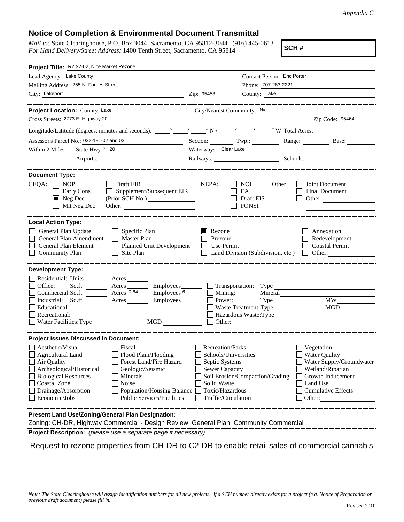## **Notice of Completion & Environmental Document Transmittal**

*Mail to:* State Clearinghouse, P.O. Box 3044, Sacramento, CA 95812-3044 (916) 445-0613 *For Hand Delivery/Street Address:* 1400 Tenth Street, Sacramento, CA 95814

**SCH #**

| Project Title: RZ 22-02, Nice Market Rezone                                                                                                                                                                                                                                                                                                                    |                                                                                                                                                     |                                                                                             |                                                                                                |  |
|----------------------------------------------------------------------------------------------------------------------------------------------------------------------------------------------------------------------------------------------------------------------------------------------------------------------------------------------------------------|-----------------------------------------------------------------------------------------------------------------------------------------------------|---------------------------------------------------------------------------------------------|------------------------------------------------------------------------------------------------|--|
| Lead Agency: Lake County                                                                                                                                                                                                                                                                                                                                       |                                                                                                                                                     | Contact Person: Eric Porter                                                                 |                                                                                                |  |
| Mailing Address: 255 N. Forbes Street                                                                                                                                                                                                                                                                                                                          |                                                                                                                                                     | Phone: 707-263-2221                                                                         |                                                                                                |  |
| City: Lakeport<br><u> 1989 - Johann Barbara, martin amerikan basar da</u>                                                                                                                                                                                                                                                                                      | Zip: 95453                                                                                                                                          | County: Lake                                                                                |                                                                                                |  |
| --- <b>--------</b> -                                                                                                                                                                                                                                                                                                                                          |                                                                                                                                                     | ------------------                                                                          |                                                                                                |  |
| Project Location: County: Lake<br>City/Nearest Community: Nice                                                                                                                                                                                                                                                                                                 |                                                                                                                                                     |                                                                                             |                                                                                                |  |
| Cross Streets: 2773 E. Highway 20                                                                                                                                                                                                                                                                                                                              |                                                                                                                                                     |                                                                                             | Zip Code: 95464                                                                                |  |
|                                                                                                                                                                                                                                                                                                                                                                |                                                                                                                                                     |                                                                                             |                                                                                                |  |
| Assessor's Parcel No.: 032-181-02 and 03<br><u> 1990 - Johann Barn, mars ann an t-</u>                                                                                                                                                                                                                                                                         | Section: Twp.:                                                                                                                                      | Range: Base:                                                                                |                                                                                                |  |
| State Hwy #: 20<br>Within 2 Miles:                                                                                                                                                                                                                                                                                                                             | Waterways: Clear Lake                                                                                                                               |                                                                                             |                                                                                                |  |
| Airports:                                                                                                                                                                                                                                                                                                                                                      |                                                                                                                                                     | Railways: Schools: Schools: Schools: 2001                                                   |                                                                                                |  |
| <b>Document Type:</b><br>$CEQA: \Box NP$<br>Draft EIR<br>Early Cons<br>Supplement/Subsequent EIR<br>$\blacksquare$ Neg Dec<br>Mit Neg Dec                                                                                                                                                                                                                      | NEPA:                                                                                                                                               | <b>NOI</b><br>Other:<br>EA<br>Draft EIS<br><b>FONSI</b>                                     | Joint Document<br>Final Document<br>Other: $\qquad \qquad$                                     |  |
| <b>Local Action Type:</b><br>General Plan Update<br>$\Box$ Specific Plan<br>General Plan Amendment<br>$\Box$ Master Plan<br>Planned Unit Development<br>General Plan Element<br>$\Box$ Community Plan<br>$\Box$ Site Plan                                                                                                                                      | Rezone<br>Prezone<br>Use Permit                                                                                                                     | Land Division (Subdivision, etc.)                                                           | Annexation<br>Redevelopment<br><b>Coastal Permit</b><br>$\Box$ Other:                          |  |
| <b>Development Type:</b>                                                                                                                                                                                                                                                                                                                                       |                                                                                                                                                     |                                                                                             |                                                                                                |  |
| Residential: Units ________ Acres _______<br>Office:<br>Acres _________ Employees________<br>Sq.ft.<br>Commercial:Sq.ft. <u>Acres</u> Acres<br>$\equiv$ Employees $6 \equiv$<br>Industrial: Sq.ft. _______ Acres _______ Employees_______<br>Educational:<br>Recreational:<br>MGD<br>Water Facilities: Type                                                    | Mining:<br>Power:                                                                                                                                   | Waste Treatment: Type<br>Hazardous Waste:Type                                               | <b>MW</b><br>MGD                                                                               |  |
| <b>Project Issues Discussed in Document:</b>                                                                                                                                                                                                                                                                                                                   |                                                                                                                                                     |                                                                                             |                                                                                                |  |
| Aesthetic/Visual<br>Fiscal<br>Flood Plain/Flooding<br><b>Agricultural Land</b><br>Forest Land/Fire Hazard<br>Air Quality<br>Archeological/Historical<br>Geologic/Seismic<br><b>Biological Resources</b><br>Minerals<br><b>Coastal Zone</b><br>Noise<br>Drainage/Absorption<br>Population/Housing Balance<br>Economic/Jobs<br><b>Public Services/Facilities</b> | <b>Recreation/Parks</b><br>Schools/Universities<br>Septic Systems<br><b>Sewer Capacity</b><br>Solid Waste<br>Toxic/Hazardous<br>Traffic/Circulation | Vegetation<br><b>Water Quality</b><br>Soil Erosion/Compaction/Grading<br>Land Use<br>Other: | Water Supply/Groundwater<br>Wetland/Riparian<br>Growth Inducement<br><b>Cumulative Effects</b> |  |
| Present Land Use/Zoning/General Plan Designation:<br>Zoning: CH-DR, Highway Commercial - Design Review General Plan: Community Commercial                                                                                                                                                                                                                      |                                                                                                                                                     |                                                                                             |                                                                                                |  |

**Project Description:** *(please use a separate page if necessary)*

Request to rezone properties from CH-DR to C2-DR to enable retail sales of commercial cannabis